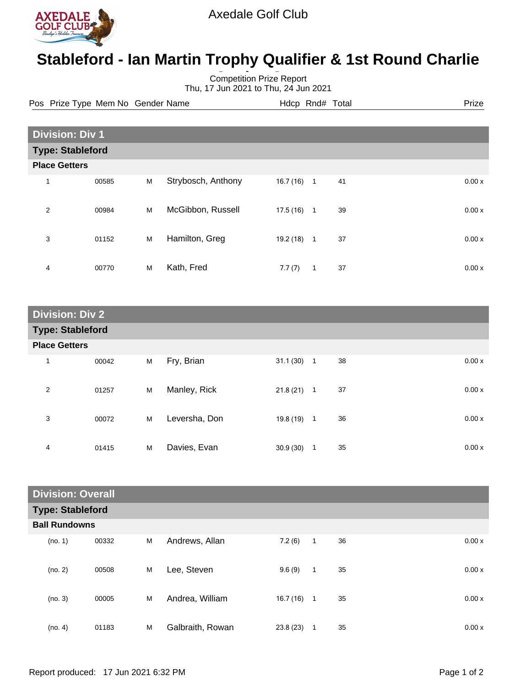

## **Stableford - Ian Martin Trophy Qualifier & 1st Round Charlie**

Competition Prize Report **Cugley Cup** Thu, 17 Jun 2021 to Thu, 24 Jun 2021

Pos Prize Type Mem No Gender Name **Hdcp Rnd# Total** Prize Prize

| <b>Division: Div 1</b>  |       |   |                    |           |              |    |  |       |
|-------------------------|-------|---|--------------------|-----------|--------------|----|--|-------|
| <b>Type: Stableford</b> |       |   |                    |           |              |    |  |       |
| <b>Place Getters</b>    |       |   |                    |           |              |    |  |       |
| 1                       | 00585 | M | Strybosch, Anthony | 16.7(16)  | $\mathbf{1}$ | 41 |  | 0.00x |
| $\overline{2}$          | 00984 | M | McGibbon, Russell  | 17.5(16)  | $\mathbf{1}$ | 39 |  | 0.00x |
| 3                       | 01152 | M | Hamilton, Greg     | 19.2 (18) | 1            | 37 |  | 0.00x |
| 4                       | 00770 | M | Kath, Fred         | 7.7(7)    | 1            | 37 |  | 0.00x |

| <b>Division: Div 2</b>  |       |   |               |              |   |    |       |
|-------------------------|-------|---|---------------|--------------|---|----|-------|
| <b>Type: Stableford</b> |       |   |               |              |   |    |       |
| <b>Place Getters</b>    |       |   |               |              |   |    |       |
| $\mathbf{1}$            | 00042 | M | Fry, Brian    | $31.1(30)$ 1 |   | 38 | 0.00x |
| $\overline{2}$          | 01257 | M | Manley, Rick  | $21.8(21)$ 1 |   | 37 | 0.00x |
| 3                       | 00072 | M | Leversha, Don | $19.8(19)$ 1 |   | 36 | 0.00x |
| 4                       | 01415 | M | Davies, Evan  | 30.9(30)     | 1 | 35 | 0.00x |

| <b>Division: Overall</b> |       |   |                  |              |              |    |       |
|--------------------------|-------|---|------------------|--------------|--------------|----|-------|
| <b>Type: Stableford</b>  |       |   |                  |              |              |    |       |
| <b>Ball Rundowns</b>     |       |   |                  |              |              |    |       |
| (no. 1)                  | 00332 | M | Andrews, Allan   | 7.2(6)       | $\mathbf{1}$ | 36 | 0.00x |
| (no. 2)                  | 00508 | M | Lee, Steven      | 9.6(9)       | $\mathbf{1}$ | 35 | 0.00x |
| (no. 3)                  | 00005 | M | Andrea, William  | $16.7(16)$ 1 |              | 35 | 0.00x |
| (no. 4)                  | 01183 | M | Galbraith, Rowan | 23.8(23)     | 1            | 35 | 0.00x |